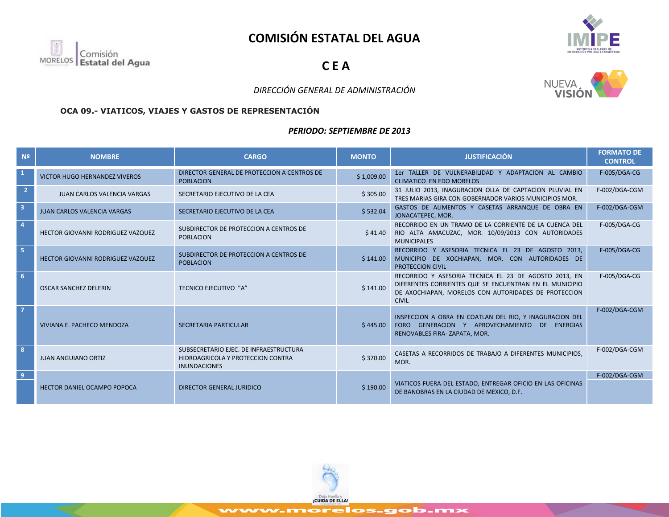# **COMISIÓN ESTATAL DEL AGUA**



**C E A**



## *DIRECCIÓN GENERAL DE ADMINISTRACIÓN*

#### **OCA 09.- VIATICOS, VIAJES Y GASTOS DE REPRESENTACIÓN**

#### *PERIODO: SEPTIEMBRE DE 2013*

| N <sup>2</sup> | <b>NOMBRE</b>                        | <b>CARGO</b>                                                                                       | <b>MONTO</b> | <b>JUSTIFICACIÓN</b>                                                                                                                                                                     | <b>FORMATO DE</b><br><b>CONTROL</b> |
|----------------|--------------------------------------|----------------------------------------------------------------------------------------------------|--------------|------------------------------------------------------------------------------------------------------------------------------------------------------------------------------------------|-------------------------------------|
| $\mathbf{1}$   | <b>VICTOR HUGO HERNANDEZ VIVEROS</b> | DIRECTOR GENERAL DE PROTECCION A CENTROS DE<br><b>POBLACION</b>                                    | \$1,009.00   | 1er TALLER DE VULNERABILIDAD Y ADAPTACION AL CAMBIO<br><b>CLIMATICO EN EDO MORELOS</b>                                                                                                   | F-005/DGA-CG                        |
| $\overline{2}$ | <b>JUAN CARLOS VALENCIA VARGAS</b>   | SECRETARIO EJECUTIVO DE LA CEA                                                                     | \$305.00     | 31 JULIO 2013, INAGURACION OLLA DE CAPTACION PLUVIAL EN<br>TRES MARIAS GIRA CON GOBERNADOR VARIOS MUNICIPIOS MOR.                                                                        | F-002/DGA-CGM                       |
| $\overline{3}$ | JUAN CARLOS VALENCIA VARGAS          | SECRETARIO EJECUTIVO DE LA CEA                                                                     | \$532.04     | GASTOS DE ALIMENTOS Y CASETAS ARRANQUE DE OBRA EN<br>JONACATEPEC, MOR.                                                                                                                   | F-002/DGA-CGM                       |
|                | HECTOR GIOVANNI RODRIGUEZ VAZQUEZ    | SUBDIRECTOR DE PROTECCION A CENTROS DE<br><b>POBLACION</b>                                         |              | RECORRIDO EN UN TRAMO DE LA CORRIENTE DE LA CUENCA DEL<br>\$41.40 RIO ALTA AMACUZAC, MOR. 10/09/2013 CON AUTORIDADES<br><b>MUNICIPALES</b>                                               | F-005/DGA-CG                        |
| 5.             | HECTOR GIOVANNI RODRIGUEZ VAZQUEZ    | SUBDIRECTOR DE PROTECCION A CENTROS DE<br><b>POBLACION</b>                                         | \$141.00     | RECORRIDO Y ASESORIA TECNICA EL 23 DE AGOSTO 2013,<br>MUNICIPIO DE XOCHIAPAN, MOR. CON AUTORIDADES DE<br>PROTECCION CIVIL                                                                | F-005/DGA-CG                        |
| 6              | <b>OSCAR SANCHEZ DELERIN</b>         | <b>TECNICO EJECUTIVO "A"</b>                                                                       | \$141.00     | RECORRIDO Y ASESORIA TECNICA EL 23 DE AGOSTO 2013, EN<br>DIFERENTES CORRIENTES QUE SE ENCUENTRAN EN EL MUNICIPIO<br>DE AXOCHIAPAN, MORELOS CON AUTORIDADES DE PROTECCION<br><b>CIVIL</b> | <b>F-005/DGA-CG</b>                 |
|                | VIVIANA E. PACHECO MENDOZA           | <b>SECRETARIA PARTICULAR</b>                                                                       | \$445.00     | INSPECCION A OBRA EN COATLAN DEL RIO, Y INAGURACION DEL<br>FORO GENERACION Y APROVECHAMIENTO DE ENERGIAS<br>RENOVABLES FIRA-ZAPATA, MOR.                                                 | F-002/DGA-CGM                       |
|                | <b>JUAN ANGUIANO ORTIZ</b>           | SUBSECRETARIO EJEC. DE INFRAESTRUCTURA<br>HIDROAGRICOLA Y PROTECCION CONTRA<br><b>INUNDACIONES</b> | \$370.00     | CASETAS A RECORRIDOS DE TRABAJO A DIFERENTES MUNICIPIOS.<br>MOR.                                                                                                                         | F-002/DGA-CGM                       |
| 9 <sup>°</sup> | <b>HECTOR DANIEL OCAMPO POPOCA</b>   | DIRECTOR GENERAL JURIDICO                                                                          | \$190.00     | VIATICOS FUERA DEL ESTADO, ENTREGAR OFICIO EN LAS OFICINAS<br>DE BANOBRAS EN LA CIUDAD DE MEXICO, D.F.                                                                                   | F-002/DGA-CGM                       |